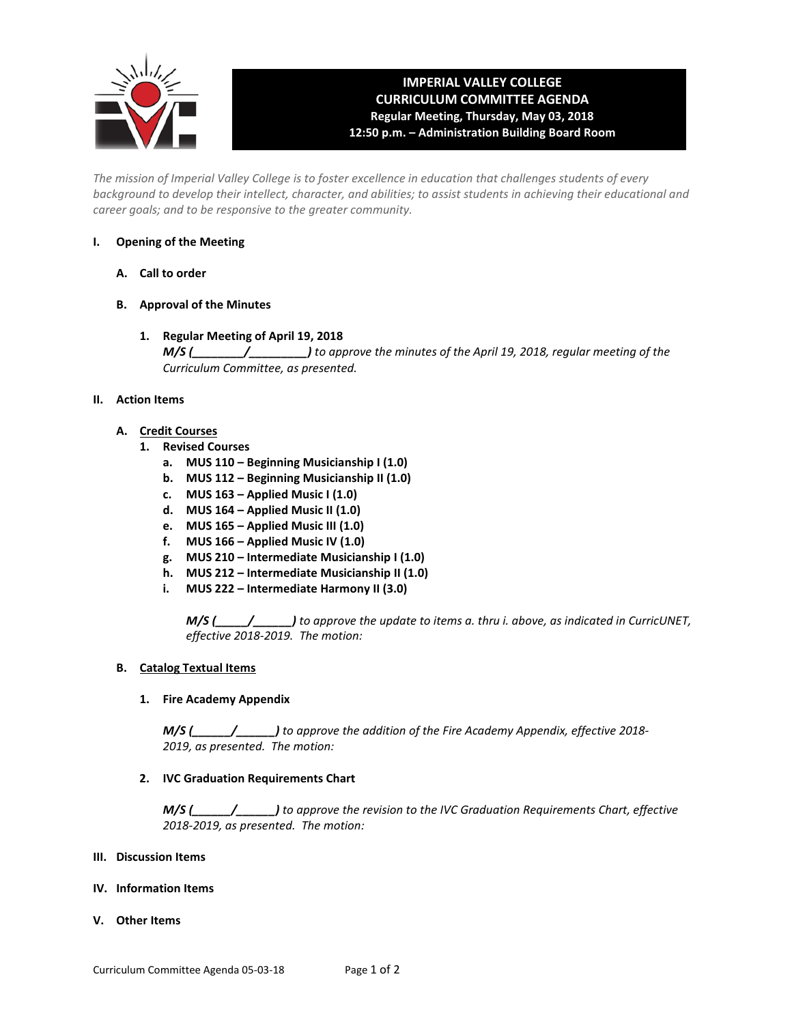

# **IMPERIAL VALLEY COLLEGE CURRICULUM COMMITTEE AGENDA Regular Meeting, Thursday, May 03, 2018 12:50 p.m. – Administration Building Board Room**

*The mission of Imperial Valley College is to foster excellence in education that challenges students of every background to develop their intellect, character, and abilities; to assist students in achieving their educational and career goals; and to be responsive to the greater community.*

## **I. Opening of the Meeting**

- **A. Call to order**
- **B. Approval of the Minutes**
	- **1. Regular Meeting of April 19, 2018** *M/S (\_\_\_\_\_\_\_\_/\_\_\_\_\_\_\_\_\_) to approve the minutes of the April 19, 2018, regular meeting of the Curriculum Committee, as presented.*

#### **II. Action Items**

- **A. Credit Courses**
	- **1. Revised Courses**
		- **a. MUS 110 – Beginning Musicianship I (1.0)**
		- **b. MUS 112 – Beginning Musicianship II (1.0)**
		- **c. MUS 163 – Applied Music I (1.0)**
		- **d. MUS 164 – Applied Music II (1.0)**
		- **e. MUS 165 – Applied Music III (1.0)**
		- **f. MUS 166 – Applied Music IV (1.0)**
		- **g. MUS 210 – Intermediate Musicianship I (1.0)**
		- **h. MUS 212 – Intermediate Musicianship II (1.0)**
		- **i. MUS 222 – Intermediate Harmony II (3.0)**

*M/S (\_\_\_\_\_/\_\_\_\_\_\_) to approve the update to items a. thru i. above, as indicated in CurricUNET, effective 2018-2019. The motion:*

#### **B. Catalog Textual Items**

#### **1. Fire Academy Appendix**

*M/S (\_\_\_\_\_\_/\_\_\_\_\_\_) to approve the addition of the Fire Academy Appendix, effective 2018- 2019, as presented. The motion:*

#### **2. IVC Graduation Requirements Chart**

*M/S (\_\_\_\_\_\_/\_\_\_\_\_\_) to approve the revision to the IVC Graduation Requirements Chart, effective 2018-2019, as presented. The motion:*

#### **III. Discussion Items**

- **IV. Information Items**
- **V. Other Items**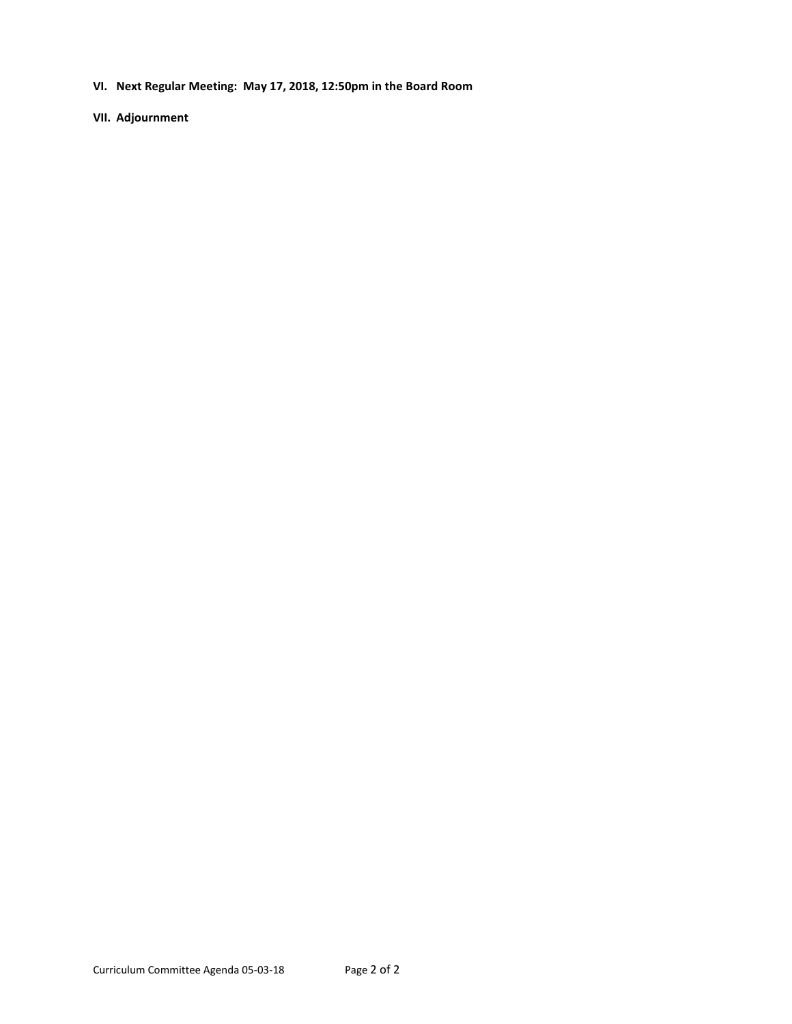**VI. Next Regular Meeting: May 17, 2018, 12:50pm in the Board Room**

**VII. Adjournment**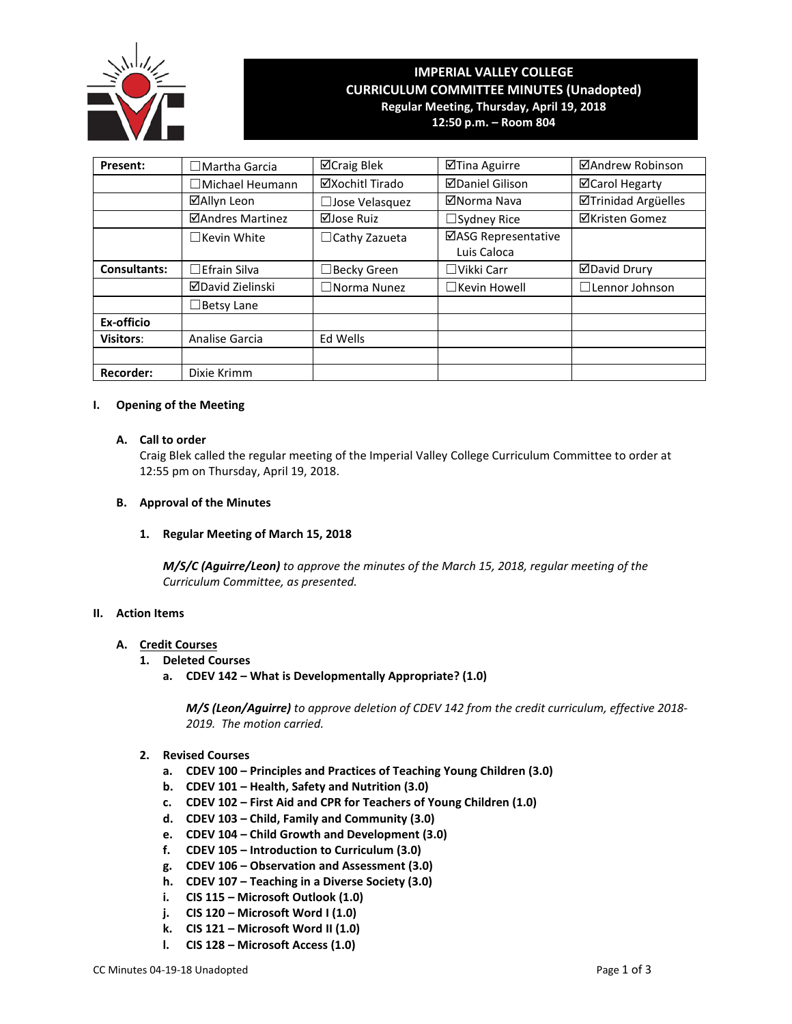

# **IMPERIAL VALLEY COLLEGE CURRICULUM COMMITTEE MINUTES (Unadopted) Regular Meeting, Thursday, April 19, 2018**

**12:50 p.m. – Room 804**

| Present:            | $\square$ Martha Garcia | ⊠Craig Blek          | ⊠Tina Aguirre                      | ⊠Andrew Robinson      |  |
|---------------------|-------------------------|----------------------|------------------------------------|-----------------------|--|
|                     | $\Box$ Michael Heumann  | ⊠Xochitl Tirado      | <b>ØDaniel Gilison</b>             | <b>ØCarol Hegarty</b> |  |
|                     | ⊠Allyn Leon             | □ Jose Velasquez     | ⊠Norma Nava                        | ⊠Trinidad Argüelles   |  |
|                     | ⊠Andres Martinez        | ⊠Jose Ruiz           | $\Box$ Sydney Rice                 | <b>⊠Kristen Gomez</b> |  |
|                     | $\Box$ Kevin White      | $\Box$ Cathy Zazueta | ⊠ASG Representative<br>Luis Caloca |                       |  |
| <b>Consultants:</b> | $\Box$ Efrain Silva     | $\Box$ Becky Green   | $\Box$ Vikki Carr                  | <b>ØDavid Drury</b>   |  |
|                     | ⊠David Zielinski        | $\Box$ Norma Nunez   | $\Box$ Kevin Howell                | $\Box$ Lennor Johnson |  |
|                     | $\Box$ Betsy Lane       |                      |                                    |                       |  |
| Ex-officio          |                         |                      |                                    |                       |  |
| <b>Visitors:</b>    | Analise Garcia          | Ed Wells             |                                    |                       |  |
|                     |                         |                      |                                    |                       |  |
| <b>Recorder:</b>    | Dixie Krimm             |                      |                                    |                       |  |

# **I. Opening of the Meeting**

### **A. Call to order**

Craig Blek called the regular meeting of the Imperial Valley College Curriculum Committee to order at 12:55 pm on Thursday, April 19, 2018.

### **B. Approval of the Minutes**

# **1. Regular Meeting of March 15, 2018**

*M/S/C (Aguirre/Leon) to approve the minutes of the March 15, 2018, regular meeting of the Curriculum Committee, as presented.* 

# **II. Action Items**

#### **A. Credit Courses**

- **1. Deleted Courses**
	- **a. CDEV 142 – What is Developmentally Appropriate? (1.0)**

*M/S (Leon/Aguirre) to approve deletion of CDEV 142 from the credit curriculum, effective 2018- 2019. The motion carried.*

# **2. Revised Courses**

- **a. CDEV 100 – Principles and Practices of Teaching Young Children (3.0)**
- **b. CDEV 101 – Health, Safety and Nutrition (3.0)**
- **c. CDEV 102 – First Aid and CPR for Teachers of Young Children (1.0)**
- **d. CDEV 103 – Child, Family and Community (3.0)**
- **e. CDEV 104 – Child Growth and Development (3.0)**
- **f. CDEV 105 – Introduction to Curriculum (3.0)**
- **g. CDEV 106 – Observation and Assessment (3.0)**
- **h. CDEV 107 – Teaching in a Diverse Society (3.0)**
- **i. CIS 115 – Microsoft Outlook (1.0)**
- **j. CIS 120 – Microsoft Word I (1.0)**
- **k. CIS 121 – Microsoft Word II (1.0)**
- **l. CIS 128 – Microsoft Access (1.0)**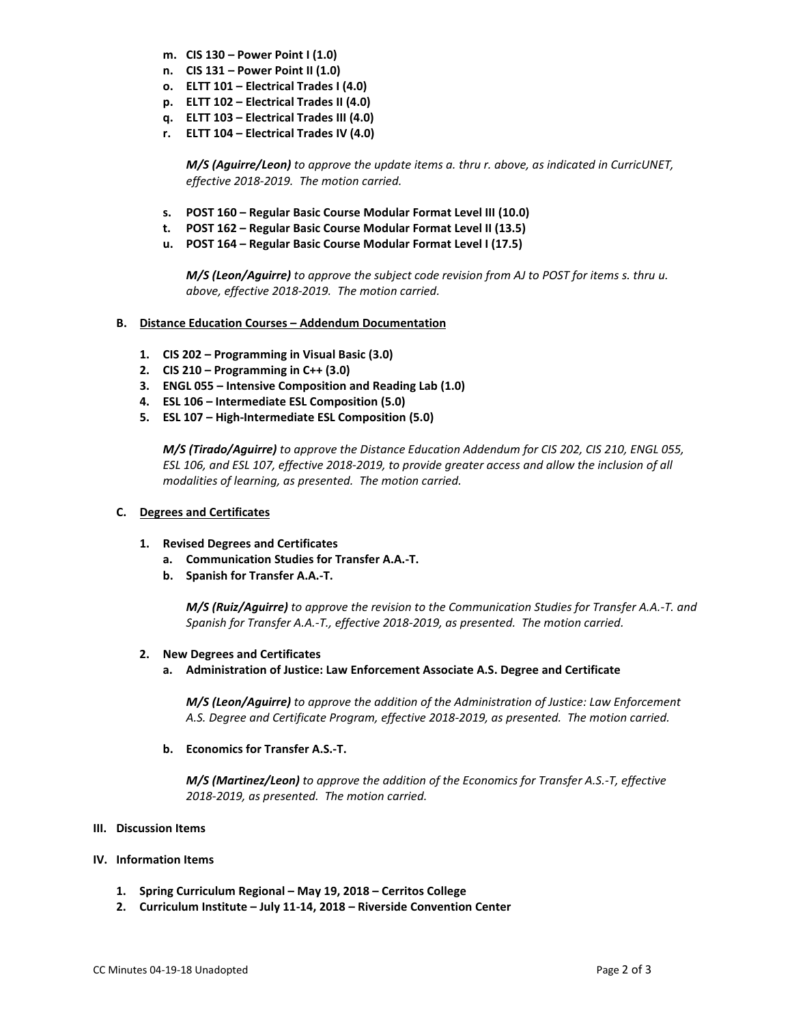- **m. CIS 130 – Power Point I (1.0)**
- **n. CIS 131 – Power Point II (1.0)**
- **o. ELTT 101 – Electrical Trades I (4.0)**
- **p. ELTT 102 – Electrical Trades II (4.0)**
- **q. ELTT 103 – Electrical Trades III (4.0)**
- **r. ELTT 104 – Electrical Trades IV (4.0)**

*M/S (Aguirre/Leon) to approve the update items a. thru r. above, as indicated in CurricUNET, effective 2018-2019. The motion carried.*

- **s. POST 160 – Regular Basic Course Modular Format Level III (10.0)**
- **t. POST 162 – Regular Basic Course Modular Format Level II (13.5)**
- **u. POST 164 – Regular Basic Course Modular Format Level I (17.5)**

*M/S (Leon/Aguirre) to approve the subject code revision from AJ to POST for items s. thru u. above, effective 2018-2019. The motion carried.*

# **B. Distance Education Courses – Addendum Documentation**

- **1. CIS 202 – Programming in Visual Basic (3.0)**
- **2. CIS 210 – Programming in C++ (3.0)**
- **3. ENGL 055 – Intensive Composition and Reading Lab (1.0)**
- **4. ESL 106 – Intermediate ESL Composition (5.0)**
- **5. ESL 107 – High-Intermediate ESL Composition (5.0)**

*M/S (Tirado/Aguirre) to approve the Distance Education Addendum for CIS 202, CIS 210, ENGL 055, ESL 106, and ESL 107, effective 2018-2019, to provide greater access and allow the inclusion of all modalities of learning, as presented. The motion carried.*

## **C. Degrees and Certificates**

- **1. Revised Degrees and Certificates**
	- **a. Communication Studies for Transfer A.A.-T.**
	- **b. Spanish for Transfer A.A.-T.**

*M/S (Ruiz/Aguirre) to approve the revision to the Communication Studies for Transfer A.A.-T. and Spanish for Transfer A.A.-T., effective 2018-2019, as presented. The motion carried.*

#### **2. New Degrees and Certificates**

**a. Administration of Justice: Law Enforcement Associate A.S. Degree and Certificate**

*M/S (Leon/Aguirre) to approve the addition of the Administration of Justice: Law Enforcement A.S. Degree and Certificate Program, effective 2018-2019, as presented. The motion carried.*

**b. Economics for Transfer A.S.-T.**

*M/S (Martinez/Leon) to approve the addition of the Economics for Transfer A.S.-T, effective 2018-2019, as presented. The motion carried.*

#### **III. Discussion Items**

#### **IV. Information Items**

- **1. Spring Curriculum Regional – May 19, 2018 – Cerritos College**
- **2. Curriculum Institute – July 11-14, 2018 – Riverside Convention Center**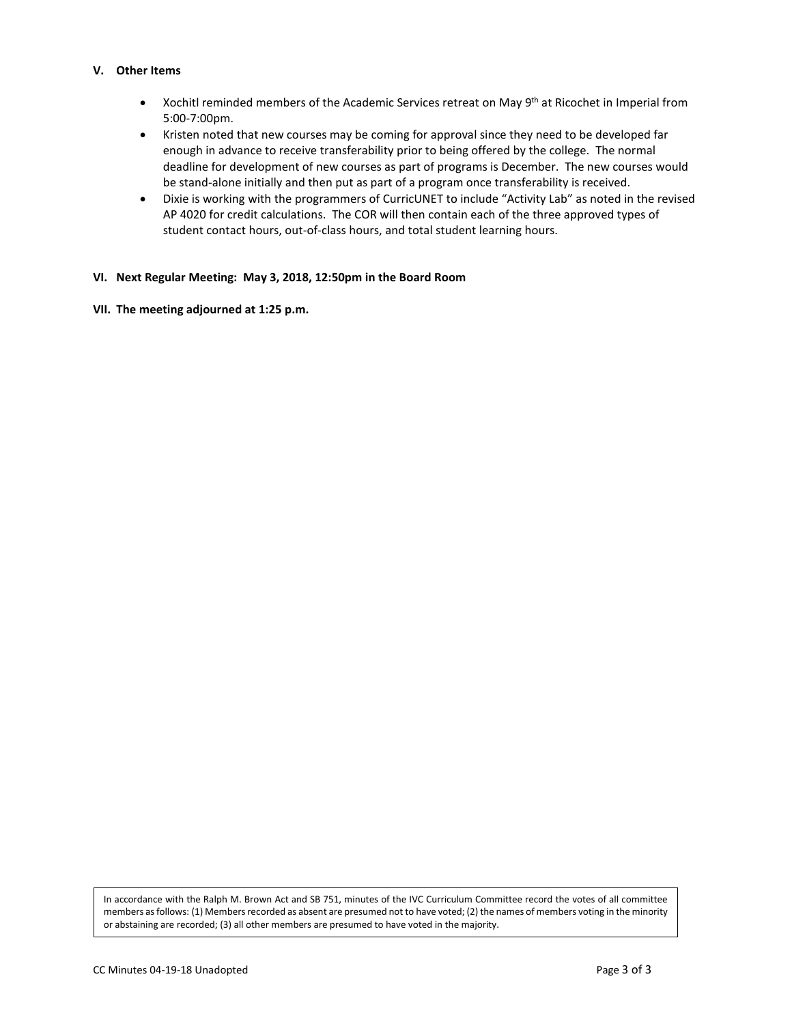#### **V. Other Items**

- Xochitl reminded members of the Academic Services retreat on May 9<sup>th</sup> at Ricochet in Imperial from 5:00-7:00pm.
- Kristen noted that new courses may be coming for approval since they need to be developed far enough in advance to receive transferability prior to being offered by the college. The normal deadline for development of new courses as part of programs is December. The new courses would be stand-alone initially and then put as part of a program once transferability is received.
- Dixie is working with the programmers of CurricUNET to include "Activity Lab" as noted in the revised AP 4020 for credit calculations. The COR will then contain each of the three approved types of student contact hours, out-of-class hours, and total student learning hours.

### **VI. Next Regular Meeting: May 3, 2018, 12:50pm in the Board Room**

**VII. The meeting adjourned at 1:25 p.m.**

In accordance with the Ralph M. Brown Act and SB 751, minutes of the IVC Curriculum Committee record the votes of all committee members as follows: (1) Members recorded as absent are presumed not to have voted; (2) the names of members voting in the minority or abstaining are recorded; (3) all other members are presumed to have voted in the majority.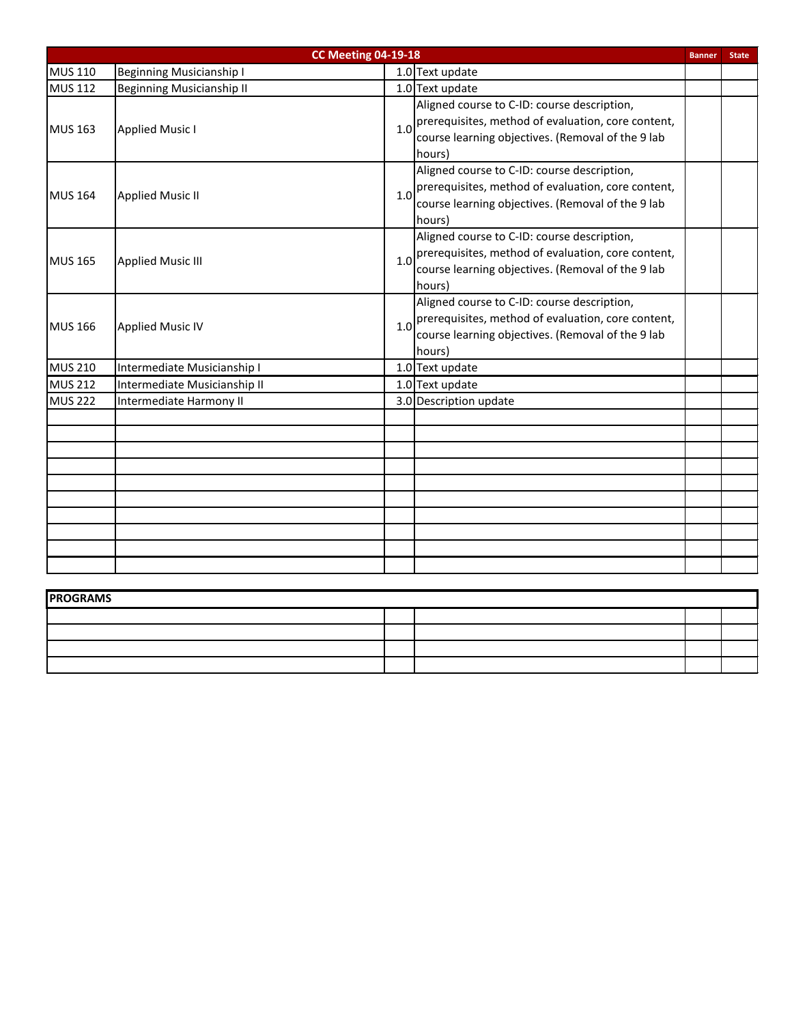| <b>CC Meeting 04-19-18</b> |                                  |     |                                                        |  | <b>State</b> |
|----------------------------|----------------------------------|-----|--------------------------------------------------------|--|--------------|
| <b>MUS 110</b>             | <b>Beginning Musicianship I</b>  |     | 1.0 Text update                                        |  |              |
| <b>MUS 112</b>             | <b>Beginning Musicianship II</b> |     | 1.0 Text update                                        |  |              |
|                            |                                  |     | Aligned course to C-ID: course description,            |  |              |
| <b>MUS 163</b>             |                                  |     | 1.0 prerequisites, method of evaluation, core content, |  |              |
|                            | <b>Applied Music I</b>           |     | course learning objectives. (Removal of the 9 lab      |  |              |
|                            |                                  |     | hours)                                                 |  |              |
|                            |                                  |     | Aligned course to C-ID: course description,            |  |              |
| <b>MUS 164</b>             |                                  | 1.0 | prerequisites, method of evaluation, core content,     |  |              |
|                            | <b>Applied Music II</b>          |     | course learning objectives. (Removal of the 9 lab      |  |              |
|                            |                                  |     | hours)                                                 |  |              |
|                            |                                  |     | Aligned course to C-ID: course description,            |  |              |
|                            |                                  | 1.0 | prerequisites, method of evaluation, core content,     |  |              |
| <b>MUS 165</b>             | <b>Applied Music III</b>         |     | course learning objectives. (Removal of the 9 lab      |  |              |
|                            |                                  |     | hours)                                                 |  |              |
|                            |                                  |     | Aligned course to C-ID: course description,            |  |              |
|                            | <b>Applied Music IV</b>          |     | 1.0 prerequisites, method of evaluation, core content, |  |              |
| <b>MUS 166</b>             |                                  |     | course learning objectives. (Removal of the 9 lab      |  |              |
|                            |                                  |     | hours)                                                 |  |              |
| <b>MUS 210</b>             | Intermediate Musicianship I      |     | 1.0 Text update                                        |  |              |
| <b>MUS 212</b>             | Intermediate Musicianship II     |     | 1.0 Text update                                        |  |              |
| <b>MUS 222</b>             | Intermediate Harmony II          |     | 3.0 Description update                                 |  |              |
|                            |                                  |     |                                                        |  |              |
|                            |                                  |     |                                                        |  |              |
|                            |                                  |     |                                                        |  |              |
|                            |                                  |     |                                                        |  |              |
|                            |                                  |     |                                                        |  |              |
|                            |                                  |     |                                                        |  |              |
|                            |                                  |     |                                                        |  |              |
|                            |                                  |     |                                                        |  |              |
|                            |                                  |     |                                                        |  |              |
|                            |                                  |     |                                                        |  |              |
|                            |                                  |     |                                                        |  |              |
| <b>PROGRAMS</b>            |                                  |     |                                                        |  |              |

| . |  |  |
|---|--|--|
|   |  |  |
|   |  |  |
|   |  |  |
|   |  |  |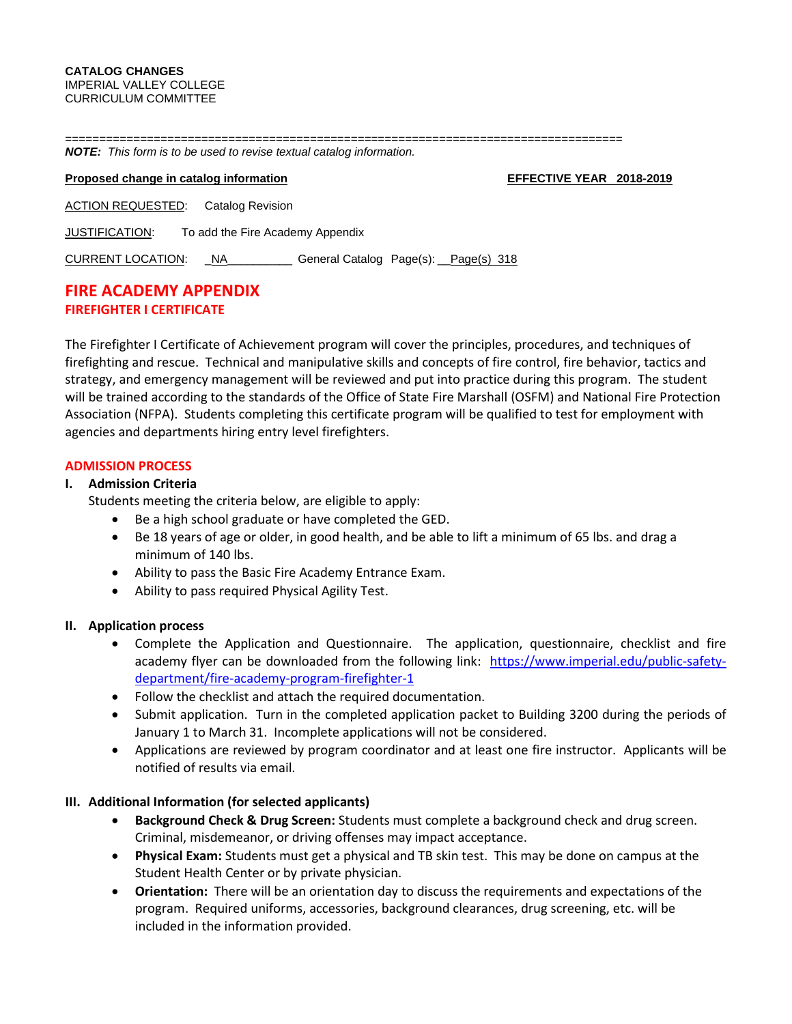==================================================================================

*NOTE: This form is to be used to revise textual catalog information.* 

#### **Proposed change in catalog information EFFECTIVE YEAR** 2018-2019

ACTION REQUESTED: Catalog Revision

JUSTIFICATION: To add the Fire Academy Appendix

CURRENT LOCATION: \_NA\_\_\_\_\_\_\_\_\_\_ General Catalog Page(s): \_\_Page(s) 318

# **FIRE ACADEMY APPENDIX FIREFIGHTER I CERTIFICATE**

The Firefighter I Certificate of Achievement program will cover the principles, procedures, and techniques of firefighting and rescue. Technical and manipulative skills and concepts of fire control, fire behavior, tactics and strategy, and emergency management will be reviewed and put into practice during this program. The student will be trained according to the standards of the Office of State Fire Marshall (OSFM) and National Fire Protection Association (NFPA). Students completing this certificate program will be qualified to test for employment with agencies and departments hiring entry level firefighters.

# **ADMISSION PROCESS**

# **I. Admission Criteria**

Students meeting the criteria below, are eligible to apply:

- Be a high school graduate or have completed the GED.
- Be 18 years of age or older, in good health, and be able to lift a minimum of 65 lbs. and drag a minimum of 140 lbs.
- Ability to pass the Basic Fire Academy Entrance Exam.
- Ability to pass required Physical Agility Test.

# **II. Application process**

- Complete the Application and Questionnaire. The application, questionnaire, checklist and fire academy flyer can be downloaded from the following link: [https://www.imperial.edu/public-safety](https://www.imperial.edu/public-safety-department/fire-academy-program-firefighter-1)[department/fire-academy-program-firefighter-1](https://www.imperial.edu/public-safety-department/fire-academy-program-firefighter-1)
- Follow the checklist and attach the required documentation.
- Submit application. Turn in the completed application packet to Building 3200 during the periods of January 1 to March 31. Incomplete applications will not be considered.
- Applications are reviewed by program coordinator and at least one fire instructor. Applicants will be notified of results via email.

# **III. Additional Information (for selected applicants)**

- **Background Check & Drug Screen:** Students must complete a background check and drug screen. Criminal, misdemeanor, or driving offenses may impact acceptance.
- **Physical Exam:** Students must get a physical and TB skin test. This may be done on campus at the Student Health Center or by private physician.
- **Orientation:** There will be an orientation day to discuss the requirements and expectations of the program. Required uniforms, accessories, background clearances, drug screening, etc. will be included in the information provided.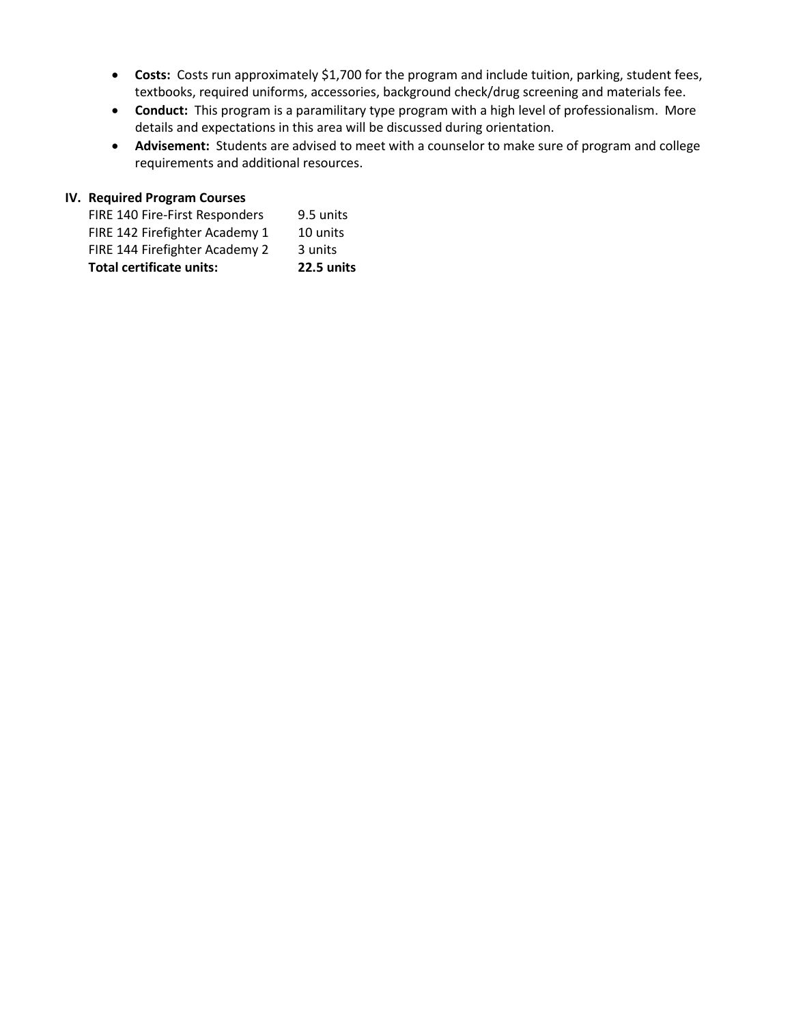- **Costs:** Costs run approximately \$1,700 for the program and include tuition, parking, student fees, textbooks, required uniforms, accessories, background check/drug screening and materials fee.
- **Conduct:** This program is a paramilitary type program with a high level of professionalism. More details and expectations in this area will be discussed during orientation.
- **Advisement:** Students are advised to meet with a counselor to make sure of program and college requirements and additional resources.

# **IV. Required Program Courses**

| <b>Total certificate units:</b> | 22.5 units |
|---------------------------------|------------|
| FIRE 144 Firefighter Academy 2  | 3 units    |
| FIRE 142 Firefighter Academy 1  | 10 units   |
| FIRE 140 Fire-First Responders  | 9.5 units  |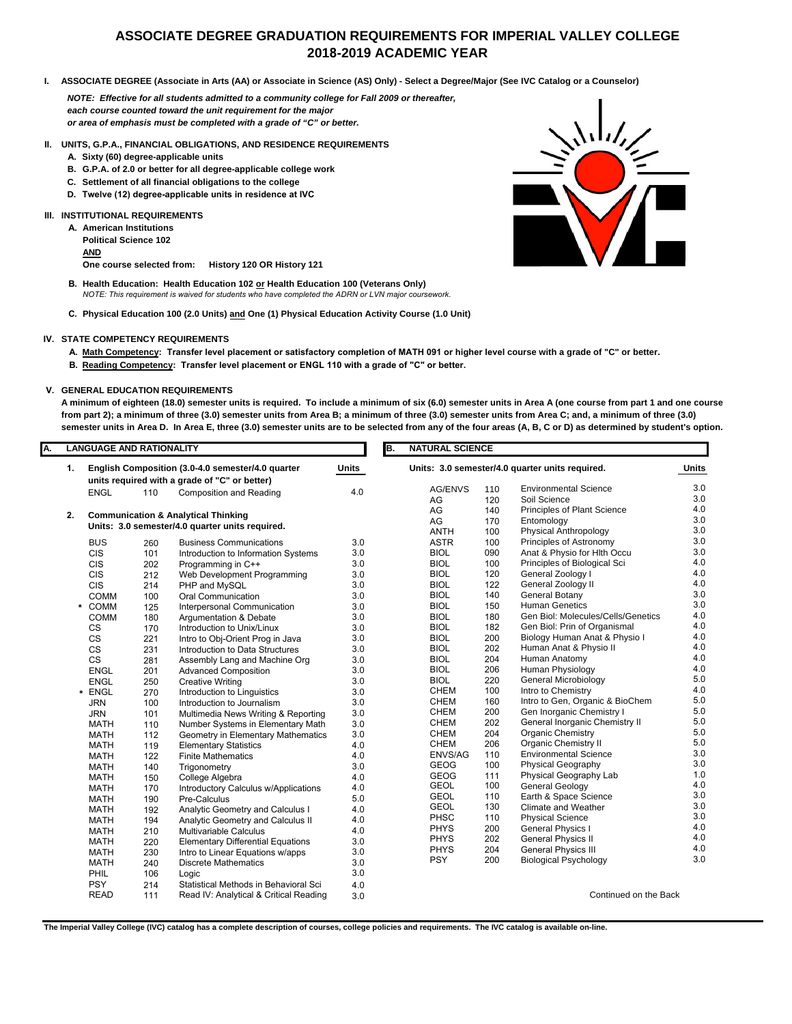# **ASSOCIATE DEGREE GRADUATION REQUIREMENTS FOR IMPERIAL VALLEY COLLEGE 2018-2019 ACADEMIC YEAR**

**I. ASSOCIATE DEGREE (Associate in Arts (AA) or Associate in Science (AS) Only) - Select a Degree/Major (See IVC Catalog or a Counselor)**

*NOTE: Effective for all students admitted to a community college for Fall 2009 or thereafter, each course counted toward the unit requirement for the major or area of emphasis must be completed with a grade of "C" or better.*

- **II. UNITS, G.P.A., FINANCIAL OBLIGATIONS, AND RESIDENCE REQUIREMENTS**
	- **A. Sixty (60) degree-applicable units**
	- **B. G.P.A. of 2.0 or better for all degree-applicable college work**
	- **C. Settlement of all financial obligations to the college**
	- **D. Twelve (12) degree-applicable units in residence at IVC**

#### **III. INSTITUTIONAL REQUIREMENTS**

**A. American Institutions Political Science 102 AND One course selected from: History 120 OR History 121**

- **B. Health Education: Health Education 102 or Health Education 100 (Veterans Only)** *NOTE: This requirement is waived for students who have completed the ADRN or LVN major coursework.*
- **C. Physical Education 100 (2.0 Units) and One (1) Physical Education Activity Course (1.0 Unit)**

#### **IV. STATE COMPETENCY REQUIREMENTS**

- **A. Math Competency: Transfer level placement or satisfactory completion of MATH 091 or higher level course with a grade of "C" or better.**
- **B. Reading Competency: Transfer level placement or ENGL 110 with a grade of "C" or better.**

#### **V. GENERAL EDUCATION REQUIREMENTS**

**A minimum of eighteen (18.0) semester units is required. To include a minimum of six (6.0) semester units in Area A (one course from part 1 and one course from part 2); a minimum of three (3.0) semester units from Area B; a minimum of three (3.0) semester units from Area C; and, a minimum of three (3.0) semester units in Area D. In Area E, three (3.0) semester units are to be selected from any of the four areas (A, B, C or D) as determined by student's option.** 

| А. |         | <b>LANGUAGE AND RATIONALITY</b>                   |     |                                                 |              | ΙB. | <b>NATURAL SCIENCE</b>                          |     |                                    |         |  |  |
|----|---------|---------------------------------------------------|-----|-------------------------------------------------|--------------|-----|-------------------------------------------------|-----|------------------------------------|---------|--|--|
|    | 1.      | English Composition (3.0-4.0 semester/4.0 quarter |     |                                                 | <b>Units</b> |     | Units: 3.0 semester/4.0 quarter units required. |     |                                    |         |  |  |
|    |         |                                                   |     | units required with a grade of "C" or better)   |              |     | <b>AG/ENVS</b>                                  | 110 | <b>Environmental Science</b>       | 3.0     |  |  |
|    |         | <b>ENGL</b>                                       | 110 | <b>Composition and Reading</b>                  | 4.0          |     | AG                                              | 120 | Soil Science                       | 3.0     |  |  |
|    |         |                                                   |     |                                                 |              |     | AG                                              | 140 | Principles of Plant Science        | 4.0     |  |  |
|    | 2.      |                                                   |     | <b>Communication &amp; Analytical Thinking</b>  |              |     | AG                                              | 170 | Entomology                         | 3.0     |  |  |
|    |         |                                                   |     | Units: 3.0 semester/4.0 quarter units required. |              |     | <b>ANTH</b>                                     | 100 | Physical Anthropology              | 3.0     |  |  |
|    |         | <b>BUS</b>                                        | 260 | <b>Business Communications</b>                  | 3.0          |     | <b>ASTR</b>                                     | 100 | Principles of Astronomy            | 3.0     |  |  |
|    |         | <b>CIS</b>                                        | 101 | Introduction to Information Systems             | 3.0          |     | <b>BIOL</b>                                     | 090 | Anat & Physio for Hlth Occu        | 3.0     |  |  |
|    |         | <b>CIS</b>                                        | 202 | Programming in C++                              | 3.0          |     | <b>BIOL</b>                                     | 100 | Principles of Biological Sci       | 4.0     |  |  |
|    |         | <b>CIS</b>                                        | 212 | Web Development Programming                     | 3.0          |     | <b>BIOL</b>                                     | 120 | General Zoology I                  | 4.0     |  |  |
|    |         | <b>CIS</b>                                        | 214 | PHP and MySQL                                   | 3.0          |     | <b>BIOL</b>                                     | 122 | General Zoology II                 | 4.0     |  |  |
|    |         | <b>COMM</b>                                       | 100 | Oral Communication                              | 3.0          |     | <b>BIOL</b>                                     | 140 | General Botany                     | 3.0     |  |  |
|    |         | * COMM                                            | 125 | Interpersonal Communication                     | 3.0          |     | <b>BIOL</b>                                     | 150 | <b>Human Genetics</b>              | 3.0     |  |  |
|    |         | <b>COMM</b>                                       | 180 | Argumentation & Debate                          | 3.0          |     | <b>BIOL</b>                                     | 180 | Gen Biol: Molecules/Cells/Genetics | 4.0     |  |  |
|    |         | CS                                                | 170 | Introduction to Unix/Linux                      | 3.0          |     | <b>BIOL</b>                                     | 182 | Gen Biol: Prin of Organismal       | 4.0     |  |  |
|    |         | CS                                                | 221 | Intro to Obj-Orient Prog in Java                | 3.0          |     | <b>BIOL</b>                                     | 200 | Biology Human Anat & Physio I      | 4.0     |  |  |
|    |         | CS                                                | 231 | Introduction to Data Structures                 | 3.0          |     | <b>BIOL</b>                                     | 202 | Human Anat & Physio II             | 4.0     |  |  |
|    |         | <b>CS</b>                                         | 281 | Assembly Lang and Machine Org                   | 3.0          |     | <b>BIOL</b>                                     | 204 | Human Anatomy                      | 4.0     |  |  |
|    |         | <b>ENGL</b>                                       | 201 | <b>Advanced Composition</b>                     | 3.0          |     | <b>BIOL</b>                                     | 206 | Human Physiology                   | 4.0     |  |  |
|    |         | <b>ENGL</b>                                       | 250 | <b>Creative Writing</b>                         | 3.0          |     | <b>BIOL</b>                                     | 220 | General Microbiology               | 5.0     |  |  |
|    | $\star$ | ENGL                                              | 270 | Introduction to Linguistics                     | 3.0          |     | <b>CHEM</b>                                     | 100 | Intro to Chemistry                 | 4.0     |  |  |
|    |         | <b>JRN</b>                                        | 100 | Introduction to Journalism                      | 3.0          |     | <b>CHEM</b>                                     | 160 | Intro to Gen, Organic & BioChem    | 5.0     |  |  |
|    |         | <b>JRN</b>                                        | 101 | Multimedia News Writing & Reporting             | 3.0          |     | <b>CHEM</b>                                     | 200 | Gen Inorganic Chemistry I          | 5.0     |  |  |
|    |         | <b>MATH</b>                                       | 110 | Number Systems in Elementary Math               | 3.0          |     | <b>CHEM</b>                                     | 202 | General Inorganic Chemistry II     | 5.0     |  |  |
|    |         | <b>MATH</b>                                       | 112 | Geometry in Elementary Mathematics              | 3.0          |     | <b>CHEM</b>                                     | 204 | Organic Chemistry                  | 5.0     |  |  |
|    |         | <b>MATH</b>                                       | 119 | <b>Elementary Statistics</b>                    | 4.0          |     | <b>CHEM</b>                                     | 206 | Organic Chemistry II               | $5.0\,$ |  |  |
|    |         | <b>MATH</b>                                       | 122 | <b>Finite Mathematics</b>                       | 4.0          |     | <b>ENVS/AG</b>                                  | 110 | <b>Environmental Science</b>       | 3.0     |  |  |
|    |         | <b>MATH</b>                                       | 140 | Trigonometry                                    | 3.0          |     | <b>GEOG</b>                                     | 100 | Physical Geography                 | 3.0     |  |  |
|    |         | <b>MATH</b>                                       | 150 | College Algebra                                 | 4.0          |     | <b>GEOG</b>                                     | 111 | Physical Geography Lab             | 1.0     |  |  |
|    |         | <b>MATH</b>                                       | 170 | Introductory Calculus w/Applications            | 4.0          |     | <b>GEOL</b>                                     | 100 | <b>General Geology</b>             | 4.0     |  |  |
|    |         | <b>MATH</b>                                       | 190 | Pre-Calculus                                    | 5.0          |     | <b>GEOL</b>                                     | 110 | Earth & Space Science              | 3.0     |  |  |
|    |         | <b>MATH</b>                                       | 192 | Analytic Geometry and Calculus I                | 4.0          |     | <b>GEOL</b>                                     | 130 | <b>Climate and Weather</b>         | 3.0     |  |  |
|    |         | <b>MATH</b>                                       | 194 | Analytic Geometry and Calculus II               | 4.0          |     | PHSC                                            | 110 | <b>Physical Science</b>            | 3.0     |  |  |
|    |         | <b>MATH</b>                                       | 210 | <b>Multivariable Calculus</b>                   | 4.0          |     | <b>PHYS</b>                                     | 200 | <b>General Physics I</b>           | 4.0     |  |  |
|    |         | <b>MATH</b>                                       | 220 | <b>Elementary Differential Equations</b>        | 3.0          |     | <b>PHYS</b>                                     | 202 | General Physics II                 | 4.0     |  |  |
|    |         | <b>MATH</b>                                       | 230 | Intro to Linear Equations w/apps                | 3.0          |     | <b>PHYS</b>                                     | 204 | <b>General Physics III</b>         | 4.0     |  |  |
|    |         | <b>MATH</b>                                       | 240 | <b>Discrete Mathematics</b>                     | 3.0          |     | <b>PSY</b>                                      | 200 | <b>Biological Psychology</b>       | 3.0     |  |  |
|    |         | PHIL                                              | 106 | Logic                                           | 3.0          |     |                                                 |     |                                    |         |  |  |
|    |         | <b>PSY</b>                                        | 214 | Statistical Methods in Behavioral Sci           | 4.0          |     |                                                 |     |                                    |         |  |  |
|    |         | <b>READ</b>                                       | 111 | Read IV: Analytical & Critical Reading          | 3.0          |     |                                                 |     | Continued on the Back              |         |  |  |



**The Imperial Valley College (IVC) catalog has a complete description of courses, college policies and requirements. The IVC catalog is available on-line.**